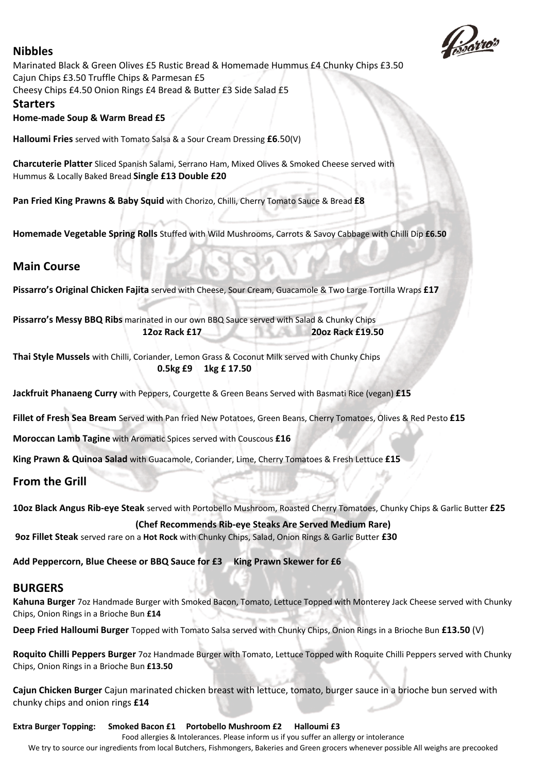# **Nibbles**



Marinated Black & Green Olives £5 Rustic Bread & Homemade Hummus £4 Chunky Chips £3.50 Cajun Chips £3.50 Truffle Chips & Parmesan £5 Cheesy Chips £4.50 Onion Rings £4 Bread & Butter £3 Side Salad £5

#### **Starters**

#### **Home-made Soup & Warm Bread £5**

**Halloumi Fries** served with Tomato Salsa & a Sour Cream Dressing **£6**.50(V)

**Charcuterie Platter** Sliced Spanish Salami, Serrano Ham, Mixed Olives & Smoked Cheese served with Hummus & Locally Baked Bread **Single £13 Double £20**

**Pan Fried King Prawns & Baby Squid** with Chorizo, Chilli, Cherry Tomato Sauce & Bread **£8**

**Homemade Vegetable Spring Rolls** Stuffed with Wild Mushrooms, Carrots & Savoy Cabbage with Chilli Dip **£6.50**

### **Main Course**

**Pissarro's Original Chicken Fajita** served with Cheese, Sour Cream, Guacamole & Two Large Tortilla Wraps **£17**

**Pissarro's Messy BBQ Ribs** marinated in our own BBQ Sauce served with Salad & Chunky Chips **12oz Rack £17 20oz Rack £19.50**

**Thai Style Mussels** with Chilli, Coriander, Lemon Grass & Coconut Milk served with Chunky Chips **0.5kg £9 1kg £ 17.50**

**Jackfruit Phanaeng Curry** with Peppers, Courgette & Green Beans Served with Basmati Rice (vegan) **£15**

**Fillet of Fresh Sea Bream** Served with Pan fried New Potatoes, Green Beans, Cherry Tomatoes, Olives & Red Pesto **£15**

**Moroccan Lamb Tagine** with Aromatic Spices served with Couscous **£16**

**King Prawn & Quinoa Salad** with Guacamole, Coriander, Lime, Cherry Tomatoes & Fresh Lettuce **£15**

**From the Grill**

**10oz Black Angus Rib-eye Steak** served with Portobello Mushroom, Roasted Cherry Tomatoes, Chunky Chips & Garlic Butter **£25**

#### **(Chef Recommends Rib-eye Steaks Are Served Medium Rare)**

**9oz Fillet Steak** served rare on a **Hot Rock** with Chunky Chips, Salad, Onion Rings & Garlic Butter **£30**

**Add Peppercorn, Blue Cheese or BBQ Sauce for £3 King Prawn Skewer for £6** 

## **BURGERS**

**Kahuna Burger** 7oz Handmade Burger with Smoked Bacon, Tomato, Lettuce Topped with Monterey Jack Cheese served with Chunky Chips, Onion Rings in a Brioche Bun **£14**

**Deep Fried Halloumi Burger** Topped with Tomato Salsa served with Chunky Chips, Onion Rings in a Brioche Bun **£13.50** (V)

**Roquito Chilli Peppers Burger** 7oz Handmade Burger with Tomato, Lettuce Topped with Roquite Chilli Peppers served with Chunky Chips, Onion Rings in a Brioche Bun **£13.50**

**Cajun Chicken Burger** Cajun marinated chicken breast with lettuce, tomato, burger sauce in a brioche bun served with chunky chips and onion rings **£14**

**Extra Burger Topping: Smoked Bacon £1 Portobello Mushroom £2 Halloumi £3**

Food allergies & Intolerances. Please inform us if you suffer an allergy or intolerance We try to source our ingredients from local Butchers, Fishmongers, Bakeries and Green grocers whenever possible All weighs are precooked